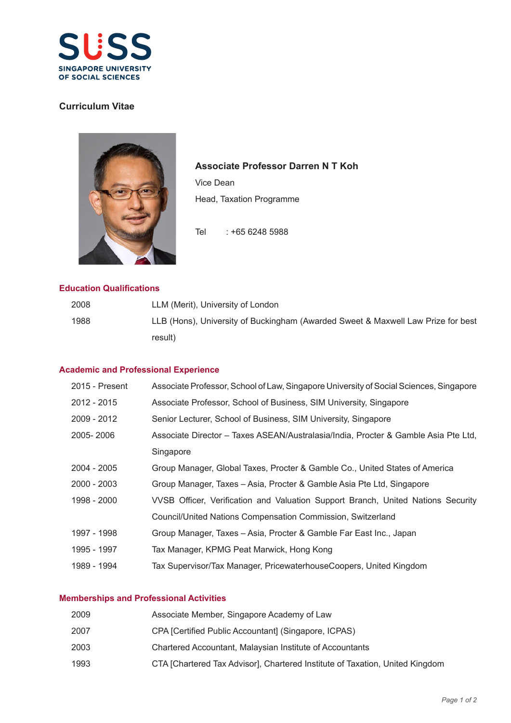

# **Curriculum Vitae**



**Associate Professor Darren N T Koh**

Vice Dean Head, Taxation Programme

Tel : +65 6248 5988

## **Education Qualifications**

| 2008 | LLM (Merit), University of London                                                |
|------|----------------------------------------------------------------------------------|
| 1988 | LLB (Hons), University of Buckingham (Awarded Sweet & Maxwell Law Prize for best |
|      | result)                                                                          |

#### **Academic and Professional Experience**

| 2015 - Present | Associate Professor, School of Law, Singapore University of Social Sciences, Singapore |
|----------------|----------------------------------------------------------------------------------------|
| 2012 - 2015    | Associate Professor, School of Business, SIM University, Singapore                     |
| 2009 - 2012    | Senior Lecturer, School of Business, SIM University, Singapore                         |
| 2005-2006      | Associate Director - Taxes ASEAN/Australasia/India, Procter & Gamble Asia Pte Ltd,     |
|                | Singapore                                                                              |
| 2004 - 2005    | Group Manager, Global Taxes, Procter & Gamble Co., United States of America            |
| 2000 - 2003    | Group Manager, Taxes – Asia, Procter & Gamble Asia Pte Ltd, Singapore                  |
| 1998 - 2000    | VVSB Officer, Verification and Valuation Support Branch, United Nations Security       |
|                | Council/United Nations Compensation Commission, Switzerland                            |
| 1997 - 1998    | Group Manager, Taxes - Asia, Procter & Gamble Far East Inc., Japan                     |
| 1995 - 1997    | Tax Manager, KPMG Peat Marwick, Hong Kong                                              |
| 1989 - 1994    | Tax Supervisor/Tax Manager, PricewaterhouseCoopers, United Kingdom                     |
|                |                                                                                        |

## **Memberships and Professional Activities**

| 2009 | Associate Member, Singapore Academy of Law                                   |
|------|------------------------------------------------------------------------------|
| 2007 | CPA [Certified Public Accountant] (Singapore, ICPAS)                         |
| 2003 | Chartered Accountant, Malaysian Institute of Accountants                     |
| 1993 | CTA [Chartered Tax Advisor], Chartered Institute of Taxation, United Kingdom |